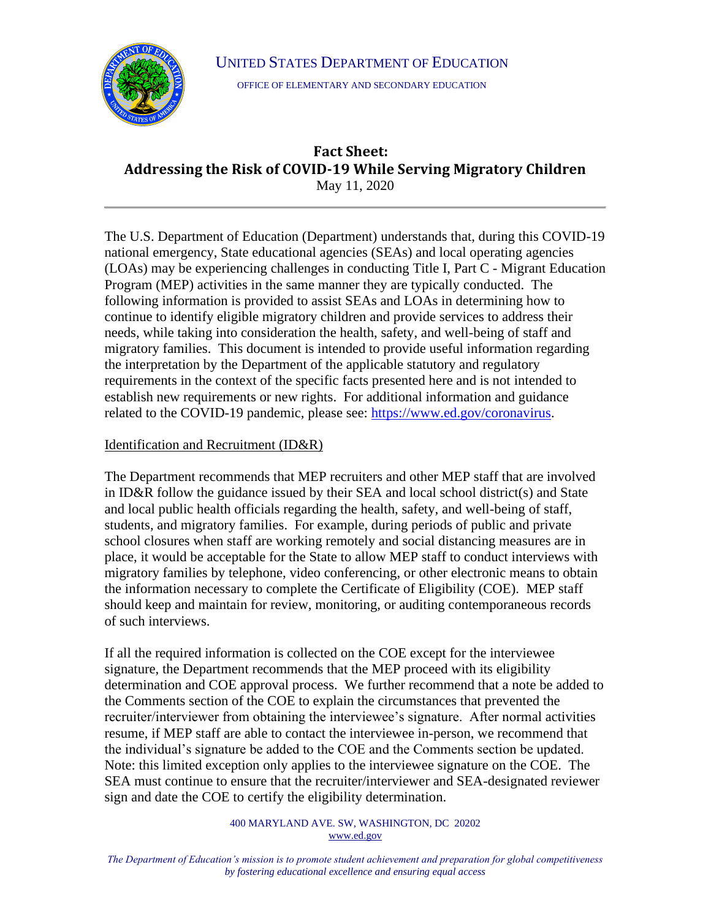### UNITED STATES DEPARTMENT OF EDUCATION



OFFICE OF ELEMENTARY AND SECONDARY EDUCATION

# **Fact Sheet: Addressing the Risk of COVID-19 While Serving Migratory Children** May 11, 2020

The U.S. Department of Education (Department) understands that, during this COVID-19 national emergency, State educational agencies (SEAs) and local operating agencies (LOAs) may be experiencing challenges in conducting Title I, Part C - Migrant Education Program (MEP) activities in the same manner they are typically conducted. The following information is provided to assist SEAs and LOAs in determining how to continue to identify eligible migratory children and provide services to address their needs, while taking into consideration the health, safety, and well-being of staff and migratory families. This document is intended to provide useful information regarding the interpretation by the Department of the applicable statutory and regulatory requirements in the context of the specific facts presented here and is not intended to establish new requirements or new rights. For additional information and guidance related to the COVID-19 pandemic, please see: [https://www.ed.gov/coronavirus.](https://www.ed.gov/coronavirus)

## Identification and Recruitment (ID&R)

The Department recommends that MEP recruiters and other MEP staff that are involved in ID&R follow the guidance issued by their SEA and local school district(s) and State and local public health officials regarding the health, safety, and well-being of staff, students, and migratory families. For example, during periods of public and private school closures when staff are working remotely and social distancing measures are in place, it would be acceptable for the State to allow MEP staff to conduct interviews with migratory families by telephone, video conferencing, or other electronic means to obtain the information necessary to complete the Certificate of Eligibility (COE). MEP staff should keep and maintain for review, monitoring, or auditing contemporaneous records of such interviews.

If all the required information is collected on the COE except for the interviewee signature, the Department recommends that the MEP proceed with its eligibility determination and COE approval process. We further recommend that a note be added to the Comments section of the COE to explain the circumstances that prevented the recruiter/interviewer from obtaining the interviewee's signature. After normal activities resume, if MEP staff are able to contact the interviewee in-person, we recommend that the individual's signature be added to the COE and the Comments section be updated. Note: this limited exception only applies to the interviewee signature on the COE. The SEA must continue to ensure that the recruiter/interviewer and SEA-designated reviewer sign and date the COE to certify the eligibility determination.

> 400 MARYLAND AVE. SW, WASHINGTON, DC 20202 [www.ed.gov](http://www.ed.gov/)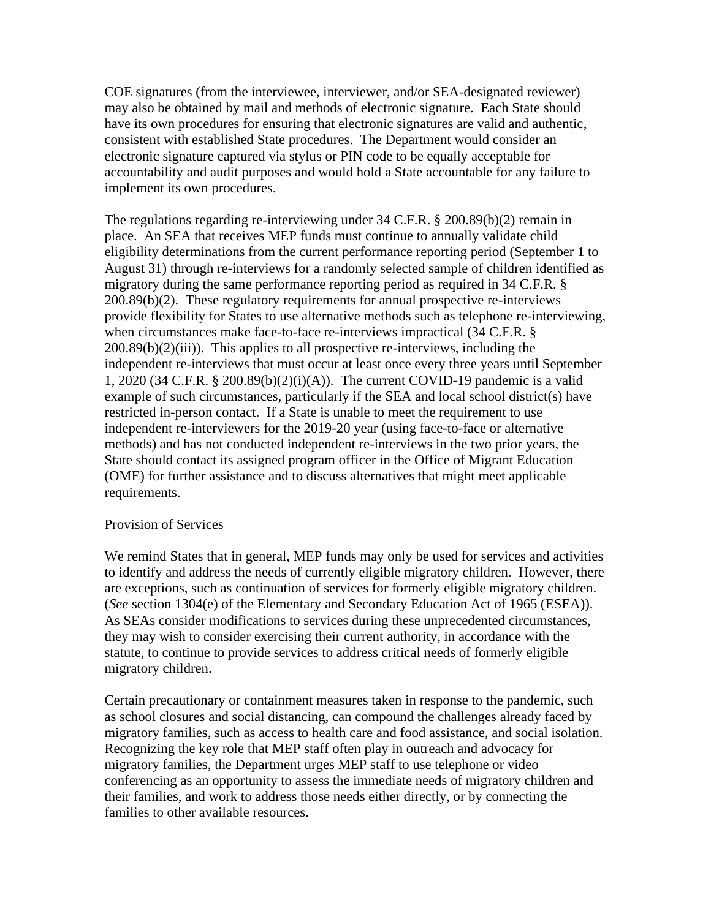COE signatures (from the interviewee, interviewer, and/or SEA-designated reviewer) may also be obtained by mail and methods of electronic signature. Each State should have its own procedures for ensuring that electronic signatures are valid and authentic, consistent with established State procedures. The Department would consider an electronic signature captured via stylus or PIN code to be equally acceptable for accountability and audit purposes and would hold a State accountable for any failure to implement its own procedures.

The regulations regarding re-interviewing under 34 C.F.R. § 200.89(b)(2) remain in place. An SEA that receives MEP funds must continue to annually validate child eligibility determinations from the current performance reporting period (September 1 to August 31) through re-interviews for a randomly selected sample of children identified as migratory during the same performance reporting period as required in 34 C.F.R. § 200.89(b)(2). These regulatory requirements for annual prospective re-interviews provide flexibility for States to use alternative methods such as telephone re-interviewing, when circumstances make face-to-face re-interviews impractical (34 C.F.R. § 200.89(b)(2)(iii)). This applies to all prospective re-interviews, including the independent re-interviews that must occur at least once every three years until September 1, 2020 (34 C.F.R. § 200.89(b)(2)(i)(A)). The current COVID-19 pandemic is a valid example of such circumstances, particularly if the SEA and local school district(s) have restricted in-person contact. If a State is unable to meet the requirement to use independent re-interviewers for the 2019-20 year (using face-to-face or alternative methods) and has not conducted independent re-interviews in the two prior years, the State should contact its assigned program officer in the Office of Migrant Education (OME) for further assistance and to discuss alternatives that might meet applicable requirements.

#### Provision of Services

We remind States that in general, MEP funds may only be used for services and activities to identify and address the needs of currently eligible migratory children. However, there are exceptions, such as continuation of services for formerly eligible migratory children. (*See* section 1304(e) of the Elementary and Secondary Education Act of 1965 (ESEA)). As SEAs consider modifications to services during these unprecedented circumstances, they may wish to consider exercising their current authority, in accordance with the statute, to continue to provide services to address critical needs of formerly eligible migratory children.

Certain precautionary or containment measures taken in response to the pandemic, such as school closures and social distancing, can compound the challenges already faced by migratory families, such as access to health care and food assistance, and social isolation. Recognizing the key role that MEP staff often play in outreach and advocacy for migratory families, the Department urges MEP staff to use telephone or video conferencing as an opportunity to assess the immediate needs of migratory children and their families, and work to address those needs either directly, or by connecting the families to other available resources.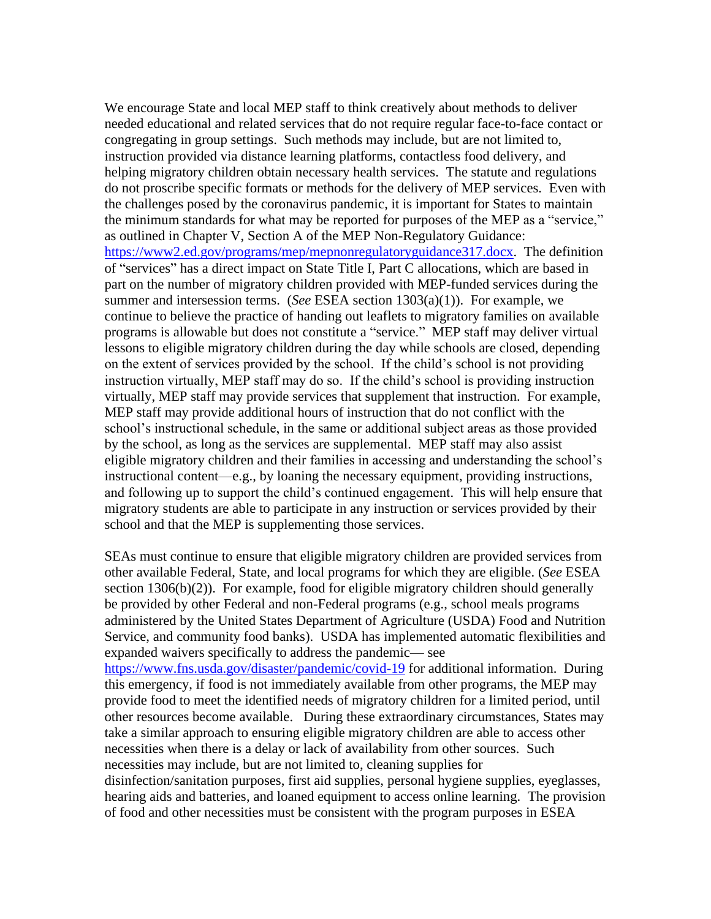We encourage State and local MEP staff to think creatively about methods to deliver needed educational and related services that do not require regular face-to-face contact or congregating in group settings. Such methods may include, but are not limited to, instruction provided via distance learning platforms, contactless food delivery, and helping migratory children obtain necessary health services. The statute and regulations do not proscribe specific formats or methods for the delivery of MEP services. Even with the challenges posed by the coronavirus pandemic, it is important for States to maintain the minimum standards for what may be reported for purposes of the MEP as a "service," as outlined in Chapter V, Section A of the MEP Non-Regulatory Guidance: [https://www2.ed.gov/programs/mep/mepnonregulatoryguidance317.docx.](https://www2.ed.gov/programs/mep/mepnonregulatoryguidance317.docx) The definition of "services" has a direct impact on State Title I, Part C allocations, which are based in part on the number of migratory children provided with MEP-funded services during the summer and intersession terms. (*See* ESEA section 1303(a)(1)). For example, we continue to believe the practice of handing out leaflets to migratory families on available programs is allowable but does not constitute a "service." MEP staff may deliver virtual lessons to eligible migratory children during the day while schools are closed, depending on the extent of services provided by the school. If the child's school is not providing instruction virtually, MEP staff may do so. If the child's school is providing instruction virtually, MEP staff may provide services that supplement that instruction. For example, MEP staff may provide additional hours of instruction that do not conflict with the school's instructional schedule, in the same or additional subject areas as those provided by the school, as long as the services are supplemental. MEP staff may also assist eligible migratory children and their families in accessing and understanding the school's instructional content—e.g., by loaning the necessary equipment, providing instructions, and following up to support the child's continued engagement. This will help ensure that migratory students are able to participate in any instruction or services provided by their school and that the MEP is supplementing those services.

SEAs must continue to ensure that eligible migratory children are provided services from other available Federal, State, and local programs for which they are eligible. (*See* ESEA section  $1306(b)(2)$ ). For example, food for eligible migratory children should generally be provided by other Federal and non-Federal programs (e.g., school meals programs administered by the United States Department of Agriculture (USDA) Food and Nutrition Service, and community food banks). USDA has implemented automatic flexibilities and expanded waivers specifically to address the pandemic— see <https://www.fns.usda.gov/disaster/pandemic/covid-19> for additional information. During this emergency, if food is not immediately available from other programs, the MEP may provide food to meet the identified needs of migratory children for a limited period, until other resources become available. During these extraordinary circumstances, States may take a similar approach to ensuring eligible migratory children are able to access other necessities when there is a delay or lack of availability from other sources. Such necessities may include, but are not limited to, cleaning supplies for disinfection/sanitation purposes, first aid supplies, personal hygiene supplies, eyeglasses, hearing aids and batteries, and loaned equipment to access online learning. The provision of food and other necessities must be consistent with the program purposes in ESEA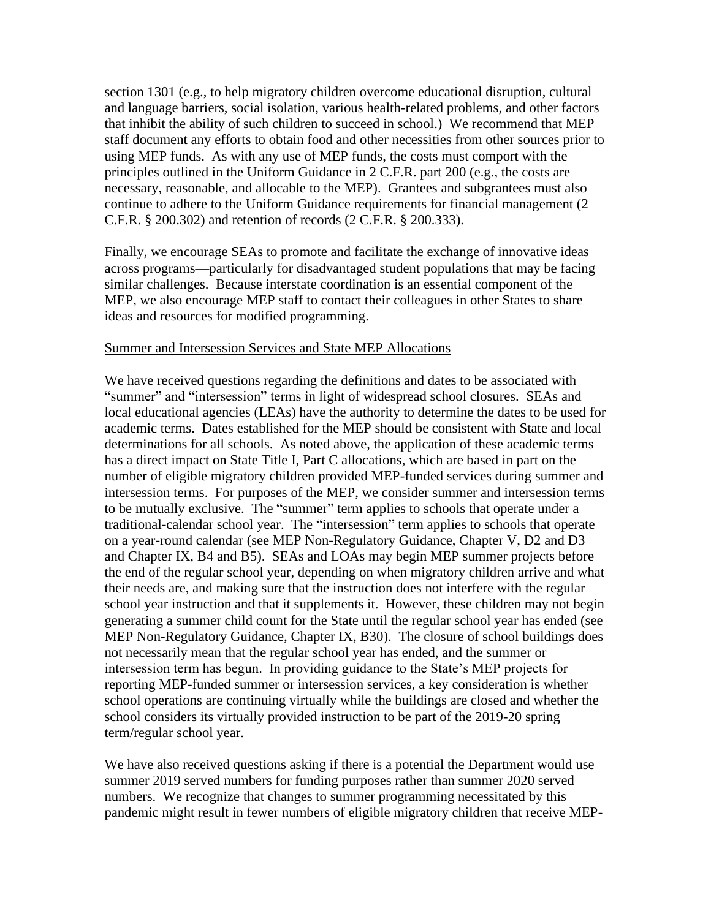section 1301 (e.g., to help migratory children overcome educational disruption, cultural and language barriers, social isolation, various health-related problems, and other factors that inhibit the ability of such children to succeed in school.) We recommend that MEP staff document any efforts to obtain food and other necessities from other sources prior to using MEP funds. As with any use of MEP funds, the costs must comport with the principles outlined in the Uniform Guidance in 2 C.F.R. part 200 (e.g., the costs are necessary, reasonable, and allocable to the MEP). Grantees and subgrantees must also continue to adhere to the Uniform Guidance requirements for financial management (2 C.F.R. § 200.302) and retention of records (2 C.F.R. § 200.333).

Finally, we encourage SEAs to promote and facilitate the exchange of innovative ideas across programs—particularly for disadvantaged student populations that may be facing similar challenges. Because interstate coordination is an essential component of the MEP, we also encourage MEP staff to contact their colleagues in other States to share ideas and resources for modified programming.

#### Summer and Intersession Services and State MEP Allocations

We have received questions regarding the definitions and dates to be associated with "summer" and "intersession" terms in light of widespread school closures. SEAs and local educational agencies (LEAs) have the authority to determine the dates to be used for academic terms. Dates established for the MEP should be consistent with State and local determinations for all schools. As noted above, the application of these academic terms has a direct impact on State Title I, Part C allocations, which are based in part on the number of eligible migratory children provided MEP-funded services during summer and intersession terms. For purposes of the MEP, we consider summer and intersession terms to be mutually exclusive. The "summer" term applies to schools that operate under a traditional-calendar school year. The "intersession" term applies to schools that operate on a year-round calendar (see MEP Non-Regulatory Guidance, Chapter V, D2 and D3 and Chapter IX, B4 and B5). SEAs and LOAs may begin MEP summer projects before the end of the regular school year, depending on when migratory children arrive and what their needs are, and making sure that the instruction does not interfere with the regular school year instruction and that it supplements it. However, these children may not begin generating a summer child count for the State until the regular school year has ended (see MEP Non-Regulatory Guidance, Chapter IX, B30). The closure of school buildings does not necessarily mean that the regular school year has ended, and the summer or intersession term has begun. In providing guidance to the State's MEP projects for reporting MEP-funded summer or intersession services, a key consideration is whether school operations are continuing virtually while the buildings are closed and whether the school considers its virtually provided instruction to be part of the 2019-20 spring term/regular school year.

We have also received questions asking if there is a potential the Department would use summer 2019 served numbers for funding purposes rather than summer 2020 served numbers. We recognize that changes to summer programming necessitated by this pandemic might result in fewer numbers of eligible migratory children that receive MEP-